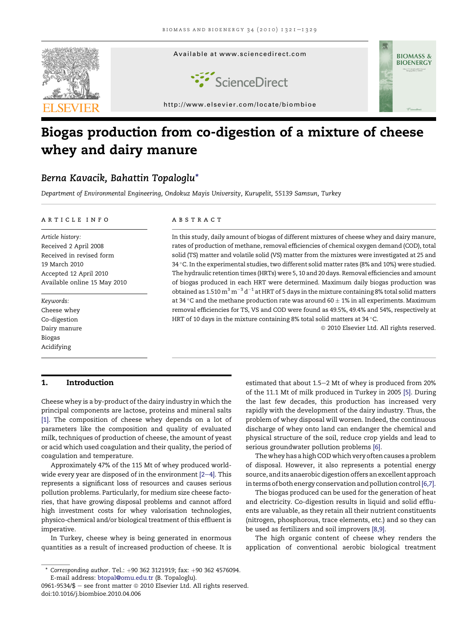

# Biogas production from co-digestion of a mixture of cheese whey and dairy manure

# Berna Kavacik, Bahattin Topaloglu\*

Department of Environmental Engineering, Ondokuz Mayis University, Kurupelit, 55139 Samsun, Turkey

#### article info

Article history: Received 2 April 2008 Received in revised form 19 March 2010 Accepted 12 April 2010 Available online 15 May 2010

Keywords: Cheese whey Co-digestion Dairy manure Biogas Acidifying

#### **ABSTRACT**

In this study, daily amount of biogas of different mixtures of cheese whey and dairy manure, rates of production of methane, removal efficiencies of chemical oxygen demand (COD), total solid (TS) matter and volatile solid (VS) matter from the mixtures were investigated at 25 and 34 °C. In the experimental studies, two different solid matter rates (8% and 10%) were studied. The hydraulic retention times (HRTs) were 5, 10 and 20 days. Removal efficiencies and amount of biogas produced in each HRT were determined. Maximum daily biogas production was obtained as 1.510  $\mathrm{m}^{3}$   $\mathrm{m}^{-3}$  d $^{-1}$  at HRT of 5 days in the mixture containing 8% total solid matters at 34 °C and the methane production rate was around 60  $\pm$  1% in all experiments. Maximum removal efficiencies for TS, VS and COD were found as 49.5%, 49.4% and 54%, respectively at HRT of 10 days in the mixture containing 8% total solid matters at 34  $^{\circ}$ C.

<sup>©</sup> 2010 Elsevier Ltd. All rights reserved.

## 1. Introduction

Cheese whey is a by-product of the dairy industry in which the principal components are lactose, proteins and mineral salts [\[1\]](#page-7-0). The composition of cheese whey depends on a lot of parameters like the composition and quality of evaluated milk, techniques of production of cheese, the amount of yeast or acid which used coagulation and their quality, the period of coagulation and temperature.

Approximately 47% of the 115 Mt of whey produced worldwide every year are disposed of in the environment  $[2-4]$  $[2-4]$ . This represents a significant loss of resources and causes serious pollution problems. Particularly, for medium size cheese factories, that have growing disposal problems and cannot afford high investment costs for whey valorisation technologies, physico-chemical and/or biological treatment of this effluent is imperative.

In Turkey, cheese whey is being generated in enormous quantities as a result of increased production of cheese. It is

estimated that about 1.5-2 Mt of whey is produced from 20% of the 11.1 Mt of milk produced in Turkey in 2005 [\[5\]](#page-8-0). During the last few decades, this production has increased very rapidly with the development of the dairy industry. Thus, the problem of whey disposal will worsen. Indeed, the continuous discharge of whey onto land can endanger the chemical and physical structure of the soil, reduce crop yields and lead to serious groundwater pollution problems [\[6\]](#page-8-0).

The whey has a high COD which very often causes a problem of disposal. However, it also represents a potential energy source, and its anaerobic digestion offers an excellent approach in terms of both energy conservation and pollution control [\[6,7\].](#page-8-0)

The biogas produced can be used for the generation of heat and electricity. Co-digestion results in liquid and solid effluents are valuable, as they retain all their nutrient constituents (nitrogen, phosphorous, trace elements, etc.) and so they can be used as fertilizers and soil improvers [\[8,9\]](#page-8-0).

The high organic content of cheese whey renders the application of conventional aerobic biological treatment

 $*$  Corresponding author. Tel.:  $+90$  362 3121919; fax:  $+90$  362 4576094. E-mail address: [btopal@omu.edu.tr](mailto:btopal@omu.edu.tr) (B. Topaloglu).

<sup>0961-9534/\$ -</sup> see front matter  $\odot$  2010 Elsevier Ltd. All rights reserved. doi:10.1016/j.biombioe.2010.04.006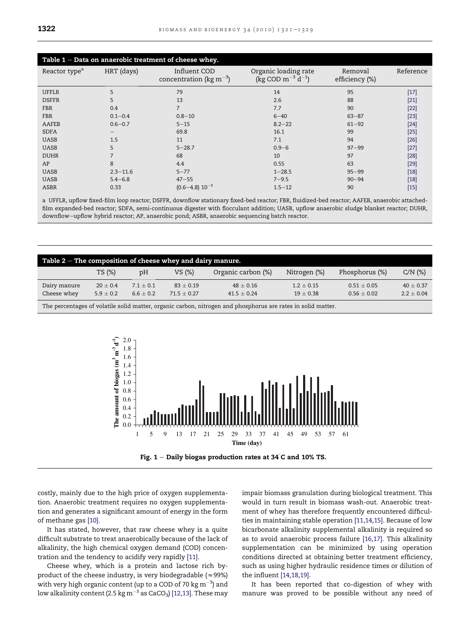<span id="page-1-0"></span>

| Table $1$ – Data on anaerobic treatment of cheese whey. |              |                                                       |                                                     |                           |           |  |  |
|---------------------------------------------------------|--------------|-------------------------------------------------------|-----------------------------------------------------|---------------------------|-----------|--|--|
| Reactor type <sup>a</sup>                               | HRT (days)   | Influent COD<br>concentration ( $kg \text{ m}^{-3}$ ) | Organic loading rate<br>(kg COD $m^{-3}$ $d^{-1}$ ) | Removal<br>efficiency (%) | Reference |  |  |
| <b>UFFLR</b>                                            | 5            | 79                                                    | 14                                                  | 95                        | $[17]$    |  |  |
| <b>DSFFR</b>                                            | 5            | 13                                                    | 2.6                                                 | 88                        | $[21]$    |  |  |
| <b>FBR</b>                                              | 0.4          | 7                                                     | 7.7                                                 | 90                        | $[22]$    |  |  |
| <b>FBR</b>                                              | $0.1 - 0.4$  | $0.8 - 10$                                            | $6 - 40$                                            | $63 - 87$                 | $[23]$    |  |  |
| AAFEB                                                   | $0.6 - 0.7$  | $5 - 15$                                              | $8.2 - 22$                                          | $61 - 92$                 | $[24]$    |  |  |
| <b>SDFA</b>                                             | —            | 69.8                                                  | 16.1                                                | 99                        | $[25]$    |  |  |
| <b>UASB</b>                                             | 1.5          | 11                                                    | 7.1                                                 | 94                        | $[26]$    |  |  |
| <b>UASB</b>                                             | 5            | $5 - 28.7$                                            | $0.9 - 6$                                           | $97 - 99$                 | $[27]$    |  |  |
| <b>DUHR</b>                                             | 7            | 68                                                    | 10                                                  | 97                        | $[28]$    |  |  |
| AP                                                      | 8            | 4.4                                                   | 0.55                                                | 63                        | $[29]$    |  |  |
| <b>UASB</b>                                             | $2.3 - 11.6$ | $5 - 77$                                              | $1 - 28.5$                                          | $95 - 99$                 | $[18]$    |  |  |
| <b>UASB</b>                                             | $5.4 - 6.8$  | $47 - 55$                                             | $7 - 9.5$                                           | $90 - 94$                 | $[18]$    |  |  |
| <b>ASBR</b>                                             | 0.33         | $(0.6 - 4.8) 10^{-3}$                                 | $1.5 - 12$                                          | 90                        | $[15]$    |  |  |

a UFFLR, upflow fixed-film loop reactor; DSFFR, downflow stationary fixed-bed reactor; FBR, fluidized-bed reactor; AAFEB, anaerobic attachedfilm expanded-bed reactor; SDFA, semi-continuous digester with flocculant addition; UASB, upflow anaerobic sludge blanket reactor; DUHR, downflow-upflow hybrid reactor; AP, anaerobic pond; ASBR, anaerobic sequencing batch reactor.

| Table $2$ – The composition of cheese whey and dairy manure.                                                                    |              |               |               |                    |              |                |             |
|---------------------------------------------------------------------------------------------------------------------------------|--------------|---------------|---------------|--------------------|--------------|----------------|-------------|
|                                                                                                                                 | TS (%)       | pH            | VS (%)        | Organic carbon (%) | Nitrogen (%) | Phosphorus (%) | $C/N$ (%)   |
| Dairy manure                                                                                                                    | $20 \pm 0.4$ | $7.1 \pm 0.1$ | $83 \pm 0.19$ | $48 + 0.16$        | $1.2 + 0.15$ | $0.51 + 0.05$  | $40 + 0.37$ |
| Cheese whey<br>$2.2 + 0.04$<br>$6.6 \pm 0.2$<br>$5.9 \pm 0.2$<br>$71.5 + 0.27$<br>$0.56 + 0.02$<br>$41.5 + 0.24$<br>$19 + 0.38$ |              |               |               |                    |              |                |             |
| The percentages of volatile solid matter, organic carbon, nitrogen and phosphorus are rates in solid matter.                    |              |               |               |                    |              |                |             |



Fig. 1  $-$  Daily biogas production rates at 34  $\degree$ C and 10% TS.

costly, mainly due to the high price of oxygen supplementation. Anaerobic treatment requires no oxygen supplementation and generates a significant amount of energy in the form of methane gas [\[10\].](#page-8-0)

It has stated, however, that raw cheese whey is a quite difficult substrate to treat anaerobically because of the lack of alkalinity, the high chemical oxygen demand (COD) concentration and the tendency to acidify very rapidly [\[11\].](#page-8-0)

Cheese whey, which is a protein and lactose rich byproduct of the cheese industry, is very biodegradable ( $\approx$ 99%) with very high organic content (up to a COD of 70  $\text{kg}\,\text{m}^{-3}$ ) and low alkalinity content (2.5 kg  $\text{m}^{-3}$  as CaCO<sub>3</sub>) [\[12,13\]](#page-8-0). These may impair biomass granulation during biological treatment. This would in turn result in biomass wash-out. Anaerobic treatment of whey has therefore frequently encountered difficulties in maintaining stable operation [\[11,14,15\]](#page-8-0). Because of low bicarbonate alkalinity supplemental alkalinity is required so as to avoid anaerobic process failure [\[16,17\].](#page-8-0) This alkalinity supplementation can be minimized by using operation conditions directed at obtaining better treatment efficiency, such as using higher hydraulic residence times or dilution of the influent [\[14,18,19\]](#page-8-0).

It has been reported that co-digestion of whey with manure was proved to be possible without any need of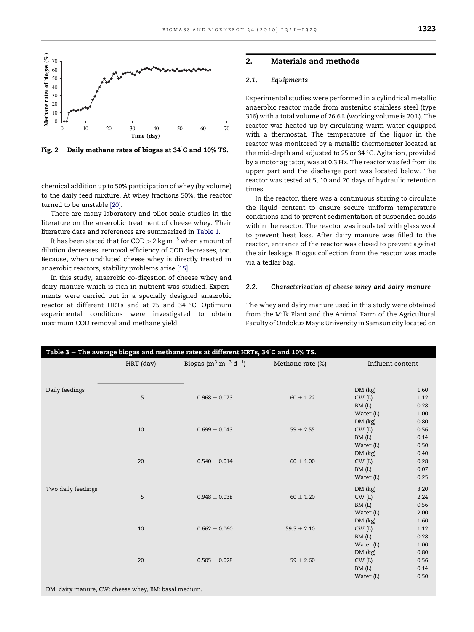<span id="page-2-0"></span>

Fig. 2  $-$  Daily methane rates of biogas at 34  $\mathrm{c}$  and 10% TS.

chemical addition up to 50% participation of whey (by volume) to the daily feed mixture. At whey fractions 50%, the reactor turned to be unstable [\[20\].](#page-8-0)

There are many laboratory and pilot-scale studies in the literature on the anaerobic treatment of cheese whey. Their literature data and references are summarized in [Table 1](#page-1-0).

It has been stated that for COD  $> 2$  kg m<sup>-3</sup> when amount of dilution decreases, removal efficiency of COD decreases, too. Because, when undiluted cheese whey is directly treated in anaerobic reactors, stability problems arise [\[15\]](#page-8-0).

In this study, anaerobic co-digestion of cheese whey and dairy manure which is rich in nutrient was studied. Experiments were carried out in a specially designed anaerobic reactor at different HRTs and at 25 and 34 °C. Optimum experimental conditions were investigated to obtain maximum COD removal and methane yield.

# 2. Materials and methods

# 2.1. Equipments

Experimental studies were performed in a cylindrical metallic anaerobic reactor made from austenitic stainless steel (type 316) with a total volume of 26.6 L (working volume is 20 L). The reactor was heated up by circulating warm water equipped with a thermostat. The temperature of the liquor in the reactor was monitored by a metallic thermometer located at the mid-depth and adjusted to 25 or 34 °C. Agitation, provided by a motor agitator, was at 0.3 Hz. The reactor was fed from its upper part and the discharge port was located below. The reactor was tested at 5, 10 and 20 days of hydraulic retention times.

In the reactor, there was a continuous stirring to circulate the liquid content to ensure secure uniform temperature conditions and to prevent sedimentation of suspended solids within the reactor. The reactor was insulated with glass wool to prevent heat loss. After dairy manure was filled to the reactor, entrance of the reactor was closed to prevent against the air leakage. Biogas collection from the reactor was made via a tedlar bag.

#### 2.2. Characterization of cheese whey and dairy manure

The whey and dairy manure used in this study were obtained from the Milk Plant and the Animal Farm of the Agricultural Faculty of Ondokuz Mayis University in Samsun city located on

| Table 3 – The average biogas and methane rates at different HRTs, $34^{\circ}$ C and $10\%$ TS. |           |                                                          |                  |                  |      |  |  |  |
|-------------------------------------------------------------------------------------------------|-----------|----------------------------------------------------------|------------------|------------------|------|--|--|--|
|                                                                                                 | HRT (day) | Biogas (m <sup>3</sup> m <sup>-3</sup> d <sup>-1</sup> ) | Methane rate (%) | Influent content |      |  |  |  |
|                                                                                                 |           |                                                          |                  |                  |      |  |  |  |
| Daily feedings                                                                                  |           |                                                          |                  | DM (kg)          | 1.60 |  |  |  |
|                                                                                                 | 5         | $0.968 \pm 0.073$                                        | $60 \pm 1.22$    | CW(L)            | 1.12 |  |  |  |
|                                                                                                 |           |                                                          |                  | BM(L)            | 0.28 |  |  |  |
|                                                                                                 |           |                                                          |                  | Water (L)        | 1.00 |  |  |  |
|                                                                                                 |           |                                                          |                  | DM (kg)          | 0.80 |  |  |  |
|                                                                                                 | 10        | $0.699 \pm 0.043$                                        | $59 \pm 2.55$    | CW(L)            | 0.56 |  |  |  |
|                                                                                                 |           |                                                          |                  | BM(L)            | 0.14 |  |  |  |
|                                                                                                 |           |                                                          |                  | Water (L)        | 0.50 |  |  |  |
|                                                                                                 |           |                                                          |                  | DM (kg)          | 0.40 |  |  |  |
|                                                                                                 | 20        | $0.540 \pm 0.014$                                        | $60 \pm 1.00$    | CW(L)            | 0.28 |  |  |  |
|                                                                                                 |           |                                                          |                  | BM(L)            | 0.07 |  |  |  |
|                                                                                                 |           |                                                          |                  | Water (L)        | 0.25 |  |  |  |
| Two daily feedings                                                                              |           |                                                          |                  | DM (kg)          | 3.20 |  |  |  |
|                                                                                                 | 5         | $0.948 \pm 0.038$                                        | $60 \pm 1.20$    | CW(L)            | 2.24 |  |  |  |
|                                                                                                 |           |                                                          |                  | BM(L)            | 0.56 |  |  |  |
|                                                                                                 |           |                                                          |                  | Water (L)        | 2.00 |  |  |  |
|                                                                                                 |           |                                                          |                  | DM (kg)          | 1.60 |  |  |  |
|                                                                                                 | 10        | $0.662 \pm 0.060$                                        | $59.5 \pm 2.10$  | CW(L)            | 1.12 |  |  |  |
|                                                                                                 |           |                                                          |                  | BM(L)            | 0.28 |  |  |  |
|                                                                                                 |           |                                                          |                  | Water (L)        | 1.00 |  |  |  |
|                                                                                                 |           |                                                          |                  | DM (kg)          | 0.80 |  |  |  |
|                                                                                                 | 20        | $0.505 \pm 0.028$                                        | $59 \pm 2.60$    | CW(L)            | 0.56 |  |  |  |
|                                                                                                 |           |                                                          |                  | BM(L)            | 0.14 |  |  |  |
|                                                                                                 |           |                                                          |                  | Water (L)        | 0.50 |  |  |  |
| DM: dairy manure, CW: cheese whey, BM: basal medium.                                            |           |                                                          |                  |                  |      |  |  |  |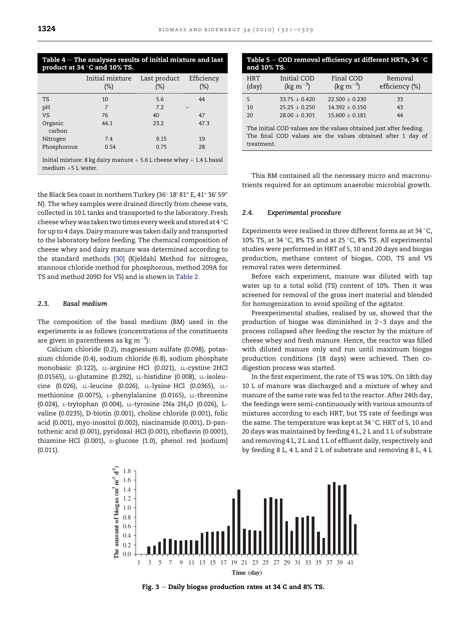<span id="page-3-0"></span>

| Table $4$ – The analyses results of initial mixture and last<br>product at 34 °C and 10% TS. |                           |                     |                      |  |  |  |  |
|----------------------------------------------------------------------------------------------|---------------------------|---------------------|----------------------|--|--|--|--|
|                                                                                              | Initial mixture<br>$(\%)$ | Last product<br>(%) | Efficiency<br>$(\%)$ |  |  |  |  |
| <b>TS</b>                                                                                    | 10                        | 5.6                 | 44                   |  |  |  |  |
| pH                                                                                           | 7                         | 7.2                 |                      |  |  |  |  |
| <b>VS</b>                                                                                    | 76                        | 40                  | 47                   |  |  |  |  |
| Organic<br>carbon                                                                            | 44.1                      | 23.2                | 47.3                 |  |  |  |  |
| Nitrogen                                                                                     | 7.4                       | 9.15                | 19                   |  |  |  |  |
| Phosphorous                                                                                  | 0.75<br>28<br>0.54        |                     |                      |  |  |  |  |
| Initial mixture: 8 kg dairy manure $+5.6$ L cheese whey $+1.4$ L basal                       |                           |                     |                      |  |  |  |  |

the Black Sea coast in northern Turkey (36 $^{\circ}$  18' 81" E, 41 $^{\circ}$  36' 59" N). The whey samples were drained directly from cheese vats, collected in 10 L tanks and transported to the laboratory. Fresh

cheese whey was taken two times every week and stored at  $4^{\circ}$ C for up to 4 days. Dairy manure was taken daily and transported to the laboratory before feeding. The chemical composition of cheese whey and dairy manure was determined according to the standard methods [\[30\]](#page-8-0) (Kjeldahl Method for nitrogen, stannous chloride method for phosphorous, method 209A for TS and method 209D for VS) and is shown in [Table 2.](#page-1-0)

### 2.3. Basal medium

medium  $+5$  L water.

The composition of the basal medium (BM) used in the experiments is as follows (concentrations of the constituents are given in parentheses as  $kg \, \text{m}^{-3}$ ):

Calcium chloride (0.2), magnesium sulfate (0.098), potassium chloride (0.4), sodium chloride (6.8), sodium phosphate monobasic (0.122), LL-arginine HCl (0.021), LL-cystine 2HCl (0.01565), LL-glutamine (0.292), LL-histidine (0.008), LL-isoleucine (0.026), LL-leucine (0.026), LL-lysine\$HCl (0.0365), LLmethionine (0.0075), L-phenylalanine (0.0165), LL-threonine (0.024), L-trytophan (0.004), LL-tyrosine 2Na 2H<sub>2</sub>O (0.026), Lvaline (0.0235), D-biotin (0.001), choline chloride (0.001), folic acid (0.001), myo-inositol (0.002), niacinamide (0.001), D-pantothenic acid (0.001), pyridoxal·HCl (0.001), riboflavin (0.0001), thiamine HCl (0.001), D-glucose (1.0), phenol red [sodium] (0.011).

| Table 5 – COD removal efficiency at different HRTs, 34 $^\circ$ C<br>and 10% TS. |                                                                                                                                                 |                                 |                           |  |  |  |  |  |
|----------------------------------------------------------------------------------|-------------------------------------------------------------------------------------------------------------------------------------------------|---------------------------------|---------------------------|--|--|--|--|--|
| <b>HRT</b><br>$\rm (day)$                                                        | Initial COD<br>(kg m <sup><math>-3</math></sup> )                                                                                               | Final COD<br>(kg $\rm m^{-3}$ ) | Removal<br>efficiency (%) |  |  |  |  |  |
| 5                                                                                | $33.75 + 0.420$                                                                                                                                 | $22.500 + 0.230$                | 33                        |  |  |  |  |  |
| 10                                                                               | $25.25 + 0.250$                                                                                                                                 | $14.392 + 0.150$                | 43                        |  |  |  |  |  |
| 20                                                                               | $28.00 + 0.301$                                                                                                                                 | $15,600 + 0,181$                | 44                        |  |  |  |  |  |
|                                                                                  | The initial COD values are the values obtained just after feeding.<br>The final COD values are the values obtained after 1 day of<br>treatment. |                                 |                           |  |  |  |  |  |

This BM contained all the necessary micro and macronutrients required for an optimum anaerobic microbial growth.

#### 2.4. Experimental procedure

Experiments were realised in three different forms as at 34  $\,^{\circ}$ C, 10% TS, at 34  $\degree$ C, 8% TS and at 25  $\degree$ C, 8% TS. All experimental studies were performed in HRT of 5, 10 and 20 days and biogas production, methane content of biogas, COD, TS and VS removal rates were determined.

Before each experiment, manure was diluted with tap water up to a total solid (TS) content of 10%. Then it was screened for removal of the gross inert material and blended for homogenization to avoid spoiling of the agitator.

Preexperimental studies, realised by us, showed that the production of biogas was diminished in  $2-3$  days and the process collapsed after feeding the reactor by the mixture of cheese whey and fresh manure. Hence, the reactor was filled with diluted manure only and run until maximum biogas production conditions (18 days) were achieved. Then codigestion process was started.

In the first experiment, the rate of TS was 10%. On 18th day 10 L of manure was discharged and a mixture of whey and manure of the same rate was fed to the reactor. After 24th day, the feedings were semi-continuously with various amounts of mixtures according to each HRT, but TS rate of feedings was the same. The temperature was kept at  $34$  °C. HRT of 5, 10 and 20 days was maintained by feeding 4 L, 2 L and 1 L of substrate and removing 4 L, 2 L and 1 L of effluent daily, respectively and by feeding 8 L, 4 L and 2 L of substrate and removing 8 L, 4 L



Fig. 3  $-$  Daily biogas production rates at 34  $\degree$ C and 8% TS.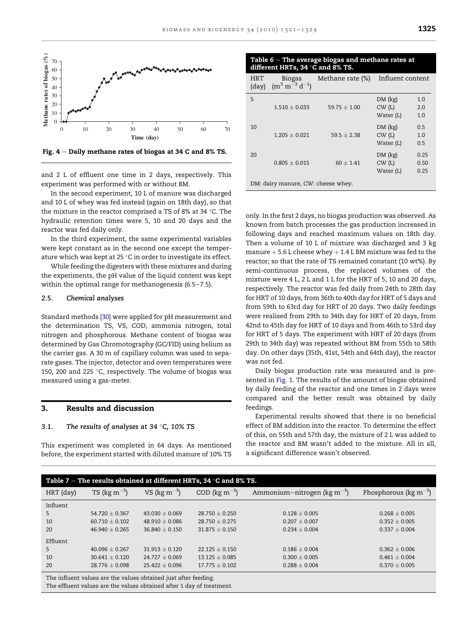<span id="page-4-0"></span>

Fig. 4  $-$  Daily methane rates of biogas at 34 $^{\circ}$ C and 8% TS.

and 2 L of effluent one time in 2 days, respectively. This experiment was performed with or without BM.

In the second experiment, 10 L of manure was discharged and 10 L of whey was fed instead (again on 18th day), so that the mixture in the reactor comprised a TS of 8% at 34  $\,^{\circ}$ C. The hydraulic retention times were 5, 10 and 20 days and the reactor was fed daily only.

In the third experiment, the same experimental variables were kept constant as in the second one except the temperature which was kept at 25  $\degree$ C in order to investigate its effect.

While feeding the digesters with these mixtures and during the experiments, the pH value of the liquid content was kept within the optimal range for methanogenesis  $(6.5-7.5)$ .

#### 2.5. Chemical analyses

Standard methods [\[30\]](#page-8-0) were applied for pH measurement and the determination TS, VS, COD, ammonia nitrogen, total nitrogen and phosphorous. Methane content of biogas was determined by Gas Chromotography (GC/FID) using helium as the carrier gas. A 30 m of capillary column was used to separate gases. The injector, detector and oven temperatures were 150, 200 and 225  $\degree$ C, respectively. The volume of biogas was measured using a gas-meter.

# 3. Results and discussion

#### 3.1. The results of analyses at  $34\textdegree C$ ,  $10\%$  TS

This experiment was completed in 64 days. As mentioned before, the experiment started with diluted manure of 10% TS

| Table $6$ – The average biogas and methane rates at |
|-----------------------------------------------------|
| different HRTs, 34 °C and 8% TS.                    |

| <b>HRT</b><br>$\frac{day}{x}$ | <b>Biogas</b><br>$(m^3 m^{-3} d^{-1})$ | Methane rate (%) | Influent content                                      |  |
|-------------------------------|----------------------------------------|------------------|-------------------------------------------------------|--|
| 5                             | $1.510 + 0.033$                        | $59.75 + 1.00$   | DM (kg)<br>1.0<br>CW(L)<br>2.0<br>Water (L)<br>1.0    |  |
| 10                            | $1.205 + 0.021$                        | $59.5 + 2.38$    | DM (kg)<br>0.5<br>CW(L)<br>1.0<br>Water (L)<br>0.5    |  |
| 20                            | $0.805 + 0.015$                        | $60 \pm 1.41$    | DM (kg)<br>0.25<br>CW(L)<br>0.50<br>Water (L)<br>0.25 |  |

DM: dairy manure, CW: cheese whey.

only. In the first 2 days, no biogas production was observed. As known from batch processes the gas production increased in following days and reached maximum values on 18th day. Then a volume of 10 L of mixture was discharged and 3 kg manure  $+5.6$  L cheese whey  $+1.4$  L BM mixture was fed to the reactor; so that the rate of TS remained constant (10 wt%). By semi-continuous process, the replaced volumes of the mixture were 4 L, 2 L and 1 L for the HRT of 5, 10 and 20 days, respectively. The reactor was fed daily from 24th to 28th day for HRT of 10 days, from 36th to 40th day for HRT of 5 days and from 59th to 63rd day for HRT of 20 days. Two daily feedings were realised from 29th to 34th day for HRT of 20 days, from 42nd to 45th day for HRT of 10 days and from 46th to 53rd day for HRT of 5 days. The experiment with HRT of 20 days (from 29th to 34th day) was repeated without BM from 55th to 58th day. On other days (35th, 41st, 54th and 64th day), the reactor was not fed.

Daily biogas production rate was measured and is presented in [Fig. 1.](#page-1-0) The results of the amount of biogas obtained by daily feeding of the reactor and one times in 2 days were compared and the better result was obtained by daily feedings.

Experimental results showed that there is no beneficial effect of BM addition into the reactor. To determine the effect of this, on 55th and 57th day, the mixture of 2 L was added to the reactor and BM wasn't added to the mixture. All in all, a significant difference wasn't observed.

| Table 7 – The results obtained at different HRTs, 34 $\,^{\circ}$ C and 8% TS.                                                           |                           |                           |                    |                                           |                                    |  |  |
|------------------------------------------------------------------------------------------------------------------------------------------|---------------------------|---------------------------|--------------------|-------------------------------------------|------------------------------------|--|--|
| HRT (day)                                                                                                                                | TS ( $\text{kg m}^{-3}$ ) | VS ( $\text{kg m}^{-3}$ ) | $COD (kg m-3)$     | Ammonium-nitrogen ( $kg \text{ m}^{-3}$ ) | Phosphorous ( $\text{kg m}^{-3}$ ) |  |  |
| Influent                                                                                                                                 |                           |                           |                    |                                           |                                    |  |  |
| 5.                                                                                                                                       | 54.720 $\pm$ 0.367        | $43.030 + 0.069$          | $28.750 \pm 0.250$ | $0.128 \pm 0.005$                         | $0.268 \pm 0.005$                  |  |  |
| 10                                                                                                                                       | $60.710 \pm 0.102$        | $48.910 \pm 0.086$        | $28.750 \pm 0.275$ | $0.207 \pm 0.007$                         | $0.352 \pm 0.005$                  |  |  |
| 20                                                                                                                                       | $46.940 + 0.265$          | $36.840 + 0.150$          | $31.875 + 0.150$   | $0.234 \pm 0.004$                         | $0.337 + 0.004$                    |  |  |
| Effluent                                                                                                                                 |                           |                           |                    |                                           |                                    |  |  |
| 5                                                                                                                                        | $40.096 \pm 0.267$        | $31.913 + 0.120$          | $22.125 + 0.150$   | $0.186 \pm 0.004$                         | $0.362 \pm 0.006$                  |  |  |
| 10                                                                                                                                       | $30.641 \pm 0.120$        | $24.727 \pm 0.069$        | $13.125 \pm 0.085$ | $0.300 \pm 0.005$                         | $0.461 \pm 0.004$                  |  |  |
| 20                                                                                                                                       | $28.776 \pm 0.098$        | $25.422 \pm 0.096$        | $17.775 \pm 0.102$ | $0.288 \pm 0.004$                         | $0.370 \pm 0.005$                  |  |  |
| The influent values are the values obtained just after feeding.<br>The effluent values are the values obtained after 1 day of treatment. |                           |                           |                    |                                           |                                    |  |  |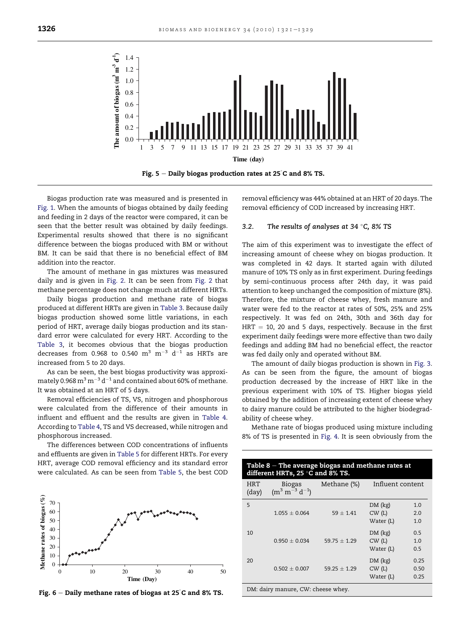<span id="page-5-0"></span>

Biogas production rate was measured and is presented in [Fig. 1.](#page-1-0) When the amounts of biogas obtained by daily feeding and feeding in 2 days of the reactor were compared, it can be seen that the better result was obtained by daily feedings. Experimental results showed that there is no significant difference between the biogas produced with BM or without BM. It can be said that there is no beneficial effect of BM addition into the reactor.

The amount of methane in gas mixtures was measured daily and is given in [Fig. 2.](#page-2-0) It can be seen from [Fig. 2](#page-2-0) that methane percentage does not change much at different HRTs.

Daily biogas production and methane rate of biogas produced at different HRTs are given in [Table 3](#page-2-0). Because daily biogas production showed some little variations, in each period of HRT, average daily biogas production and its standard error were calculated for every HRT. According to the [Table 3,](#page-2-0) it becomes obvious that the biogas production decreases from 0.968 to 0.540  $\text{m}^3$   $\text{m}^{-3}$  d<sup>-1</sup> as HRTs are increased from 5 to 20 days.

As can be seen, the best biogas productivity was approximately 0.968  $\text{m}^3 \text{ m}^{-3} \text{ d}^{-1}$  and contained about 60% of methane. It was obtained at an HRT of 5 days.

Removal efficiencies of TS, VS, nitrogen and phosphorous were calculated from the difference of their amounts in influent and effluent and the results are given in [Table 4](#page-3-0). According to [Table 4,](#page-3-0) TS and VS decreased, while nitrogen and phosphorous increased.

The differences between COD concentrations of influents and effluents are given in [Table 5](#page-3-0) for different HRTs. For every HRT, average COD removal efficiency and its standard error were calculated. As can be seen from [Table 5,](#page-3-0) the best COD



Fig. 6  $-$  Daily methane rates of biogas at 25 $^{\circ}$ C and 8% TS.

removal efficiency was 44% obtained at an HRT of 20 days. The removal efficiency of COD increased by increasing HRT.

#### 3.2. The results of analyses at 34  $\degree$ C, 8% TS

The aim of this experiment was to investigate the effect of increasing amount of cheese whey on biogas production. It was completed in 42 days. It started again with diluted manure of 10% TS only as in first experiment. During feedings by semi-continuous process after 24th day, it was paid attention to keep unchanged the composition of mixture (8%). Therefore, the mixture of cheese whey, fresh manure and water were fed to the reactor at rates of 50%, 25% and 25% respectively. It was fed on 24th, 30th and 36th day for  $HRT = 10$ , 20 and 5 days, respectively. Because in the first experiment daily feedings were more effective than two daily feedings and adding BM had no beneficial effect, the reactor was fed daily only and operated without BM.

The amount of daily biogas production is shown in [Fig. 3](#page-3-0). As can be seen from the figure, the amount of biogas production decreased by the increase of HRT like in the previous experiment with 10% of TS. Higher biogas yield obtained by the addition of increasing extent of cheese whey to dairy manure could be attributed to the higher biodegradability of cheese whey.

Methane rate of biogas produced using mixture including 8% of TS is presented in [Fig. 4](#page-4-0). It is seen obviously from the

| Table $8$ – The average biogas and methane rates at<br>different HRTs, 25 °C and 8% TS. |                                        |                |                               |                      |  |  |  |
|-----------------------------------------------------------------------------------------|----------------------------------------|----------------|-------------------------------|----------------------|--|--|--|
| HRT<br>(day)                                                                            | <b>Biogas</b><br>$(m^3 m^{-3} d^{-1})$ | Methane (%)    | Influent content              |                      |  |  |  |
| 5                                                                                       | $1.055 + 0.064$                        | $59 + 1.41$    | DM (kg)<br>CW(L)<br>Water (L) | 1.0<br>2.0<br>1.0    |  |  |  |
| 10                                                                                      | $0.950 + 0.034$                        | $59.75 + 1.29$ | DM (kg)<br>CW(L)<br>Water (L) | 0.5<br>1.0<br>0.5    |  |  |  |
| 20                                                                                      | $0.502 + 0.007$                        | $59.25 + 1.29$ | DM (kg)<br>CW(L)<br>Water (L) | 0.25<br>0.50<br>0.25 |  |  |  |

DM: dairy manure, CW: cheese whey.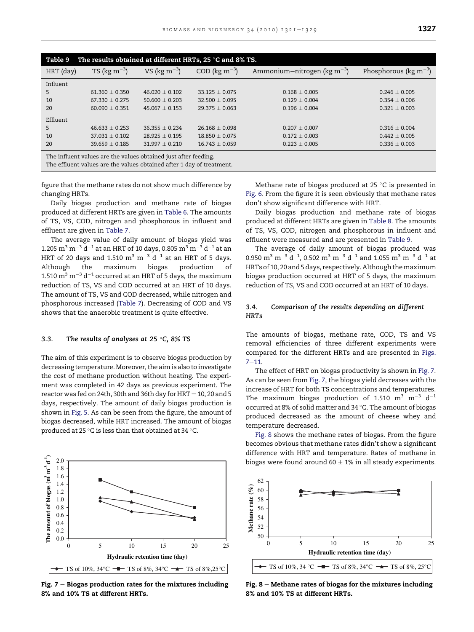| Table 9 – The results obtained at different HRTs, 25 $\,^{\circ}$ C and 8% TS.                                                           |                           |                           |                    |                                             |                                       |  |  |
|------------------------------------------------------------------------------------------------------------------------------------------|---------------------------|---------------------------|--------------------|---------------------------------------------|---------------------------------------|--|--|
| HRT (day)                                                                                                                                | TS ( $\text{kg m}^{-3}$ ) | VS ( $\text{kg m}^{-3}$ ) | $COD (kg m-3)$     | Ammonium-nitrogen ( $kg \, \text{m}^{-3}$ ) | Phosphorous ( $kg \, \text{m}^{-3}$ ) |  |  |
| Influent                                                                                                                                 |                           |                           |                    |                                             |                                       |  |  |
| 5                                                                                                                                        | $61.360 + 0.350$          | $46.020 + 0.102$          | $33.125 + 0.075$   | $0.168 + 0.005$                             | $0.246 + 0.005$                       |  |  |
| 10                                                                                                                                       | $67.330 \pm 0.275$        | $50.600 \pm 0.203$        | $32.500 \pm 0.095$ | $0.129 \pm 0.004$                           | $0.354 \pm 0.006$                     |  |  |
| 20                                                                                                                                       | $60.090 \pm 0.351$        | $45.067 + 0.153$          | $29.375 \pm 0.063$ | $0.196 \pm 0.004$                           | $0.321 \pm 0.003$                     |  |  |
| Effluent                                                                                                                                 |                           |                           |                    |                                             |                                       |  |  |
| 5                                                                                                                                        | $46.633 \pm 0.253$        | $36.355 \pm 0.234$        | $26.168 \pm 0.098$ | $0.207 \pm 0.007$                           | $0.316 \pm 0.004$                     |  |  |
| 10                                                                                                                                       | $37.031 \pm 0.102$        | $28.925 + 0.195$          | $18.850 + 0.075$   | $0.172 \pm 0.003$                           | $0.442 \pm 0.005$                     |  |  |
| 20                                                                                                                                       | $39.659 \pm 0.185$        | $31.997 \pm 0.210$        | $16.743 \pm 0.059$ | $0.223 \pm 0.005$                           | $0.336 \pm 0.003$                     |  |  |
| The influent values are the values obtained just after feeding.<br>The effluent values are the values obtained after 1 day of treatment. |                           |                           |                    |                                             |                                       |  |  |

figure that the methane rates do not show much difference by changing HRTs.

Daily biogas production and methane rate of biogas produced at different HRTs are given in [Table 6.](#page-4-0) The amounts of TS, VS, COD, nitrogen and phosphorous in influent and effluent are given in [Table 7](#page-4-0).

The average value of daily amount of biogas yield was 1.205  $\text{m}^3$   $\text{m}^{-3}$  d<sup>-1</sup> at an HRT of 10 days, 0.805  $\text{m}^3$   $\text{m}^{-3}$  d<sup>-1</sup> at an HRT of 20 days and 1.510  $\text{m}^3$   $\text{m}^{-3}$  d<sup>-1</sup> at an HRT of 5 days. Although the maximum biogas production of 1.510  $\text{m}^3$   $\text{m}^{-3}$  d<sup>-1</sup> occurred at an HRT of 5 days, the maximum reduction of TS, VS and COD occurred at an HRT of 10 days. The amount of TS, VS and COD decreased, while nitrogen and phosphorous increased [\(Table 7\)](#page-4-0). Decreasing of COD and VS shows that the anaerobic treatment is quite effective.

#### 3.3. The results of analyses at 25  $\degree$ C, 8% TS

The aim of this experiment is to observe biogas production by decreasing temperature.Moreover, the aim is also to investigate the cost of methane production without heating. The experiment was completed in 42 days as previous experiment. The reactor was fed on 24th, 30th and 36th day for  $HRT = 10$ , 20 and 5 days, respectively. The amount of daily biogas production is shown in [Fig. 5.](#page-5-0) As can be seen from the figure, the amount of biogas decreased, while HRT increased. The amount of biogas produced at 25 °C is less than that obtained at 34 °C.



Fig.  $7$  – Biogas production rates for the mixtures including 8% and 10% TS at different HRTs.

Methane rate of biogas produced at 25  $\degree$ C is presented in [Fig. 6](#page-5-0). From the figure it is seen obviously that methane rates don't show significant difference with HRT.

Daily biogas production and methane rate of biogas produced at different HRTs are given in [Table 8.](#page-5-0) The amounts of TS, VS, COD, nitrogen and phosphorous in influent and effluent were measured and are presented in Table 9.

The average of daily amount of biogas produced was 0.950  $\mathrm{m}^{3}$   $\mathrm{m}^{-3}$  d $^{-1}$ , 0.502  $\mathrm{m}^{3}$   $\mathrm{m}^{-3}$  d $^{-1}$  and 1.055  $\mathrm{m}^{3}$   $\mathrm{m}^{-3}$  d $^{-1}$  at HRTs of 10, 20 and 5 days, respectively. Although themaximum biogas production occurred at HRT of 5 days, the maximum reduction of TS, VS and COD occurred at an HRT of 10 days.

# 3.4. Comparison of the results depending on different **HRTs**

The amounts of biogas, methane rate, COD, TS and VS removal efficiencies of three different experiments were compared for the different HRTs and are presented in Figs.  $7 - 11$ .

The effect of HRT on biogas productivity is shown in Fig. 7. As can be seen from Fig. 7, the biogas yield decreases with the increase of HRT for both TS concentrations and temperatures. The maximum biogas production of 1.510  $m^3$   $m^{-3}$  d<sup>-1</sup> occurred at 8% of solid matter and 34 °C. The amount of biogas produced decreased as the amount of cheese whey and temperature decreased.

Fig. 8 shows the methane rates of biogas. From the figure becomes obvious that methane rates didn't show a significant difference with HRT and temperature. Rates of methane in biogas were found around 60  $\pm$  1% in all steady experiments.



Fig. 8  $-$  Methane rates of biogas for the mixtures including 8% and 10% TS at different HRTs.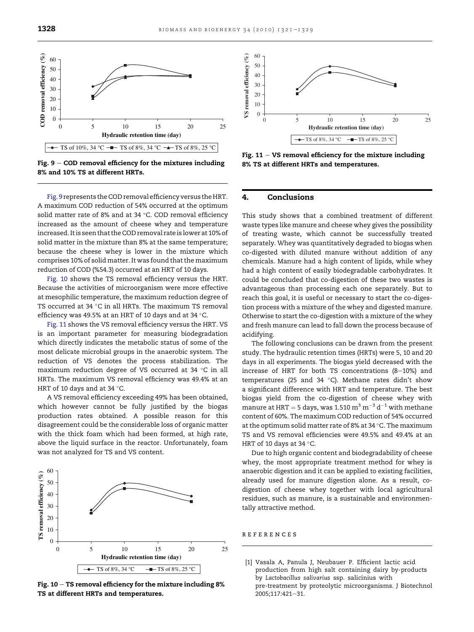<span id="page-7-0"></span>

Fig.  $9 - COD$  removal efficiency for the mixtures including 8% and 10% TS at different HRTs.

Fig. 9 represents the COD removal efficiency versus the HRT. A maximum COD reduction of 54% occurred at the optimum solid matter rate of 8% and at 34  $^{\circ}$ C. COD removal efficiency increased as the amount of cheese whey and temperature increased. It is seen that the COD removal rate is lower at 10% of solid matter in the mixture than 8% at the same temperature; because the cheese whey is lower in the mixture which comprises 10% of solid matter. It was found that the maximum reduction of COD (%54.3) occurred at an HRT of 10 days.

Fig. 10 shows the TS removal efficiency versus the HRT. Because the activities of microorganism were more effective at mesophilic temperature, the maximum reduction degree of TS occurred at 34  $\degree$ C in all HRTs. The maximum TS removal efficiency was 49.5% at an HRT of 10 days and at 34  $^{\circ}$ C.

Fig. 11 shows the VS removal efficiency versus the HRT. VS is an important parameter for measuring biodegradation which directly indicates the metabolic status of some of the most delicate microbial groups in the anaerobic system. The reduction of VS denotes the process stabilization. The maximum reduction degree of VS occurred at 34  $\degree$ C in all HRTs. The maximum VS removal efficiency was 49.4% at an HRT of 10 days and at 34  $^{\circ}$ C.

A VS removal efficiency exceeding 49% has been obtained, which however cannot be fully justified by the biogas production rates obtained. A possible reason for this disagreement could be the considerable loss of organic matter with the thick foam which had been formed, at high rate, above the liquid surface in the reactor. Unfortunately, foam was not analyzed for TS and VS content.



Fig.  $10 - TS$  removal efficiency for the mixture including 8% TS at different HRTs and temperatures.



Fig.  $11 - VS$  removal efficiency for the mixture including 8% TS at different HRTs and temperatures.

# 4. Conclusions

This study shows that a combined treatment of different waste types like manure and cheese whey gives the possibility of treating waste, which cannot be successfully treated separately. Whey was quantitatively degraded to biogas when co-digested with diluted manure without addition of any chemicals. Manure had a high content of lipids, while whey had a high content of easily biodegradable carbohydrates. It could be concluded that co-digestion of these two wastes is advantageous than processing each one separately. But to reach this goal, it is useful or necessary to start the co-digestion process with a mixture of the whey and digested manure. Otherwise to start the co-digestion with a mixture of the whey and fresh manure can lead to fall down the process because of acidifying.

The following conclusions can be drawn from the present study. The hydraulic retention times (HRTs) were 5, 10 and 20 days in all experiments. The biogas yield decreased with the increase of HRT for both TS concentrations  $(8-10%)$  and temperatures (25 and 34  $^{\circ}$ C). Methane rates didn't show a significant difference with HRT and temperature. The best biogas yield from the co-digestion of cheese whey with manure at HRT = 5 days, was 1.510  $\text{m}^3$   $\text{m}^{-3}$  d<sup>-1</sup> with methane content of 60%. The maximum COD reduction of 54% occurred at the optimum solid matter rate of 8% at 34 °C. The maximum TS and VS removal efficiencies were 49.5% and 49.4% at an HRT of 10 days at 34  $\degree$ C.

Due to high organic content and biodegradability of cheese whey, the most appropriate treatment method for whey is anaerobic digestion and it can be applied to existing facilities, already used for manure digestion alone. As a result, codigestion of cheese whey together with local agricultural residues, such as manure, is a sustainable and environmentally attractive method.

#### references

[1] Vasala A, Panula J, Neubauer P. Efficient lactic acid production from high salt containing dairy by-products by Lactobacillus salivarius ssp. salicinius with pre-treatment by proteolytic microorganisms. J Biotechnol 2005;117:421-31.